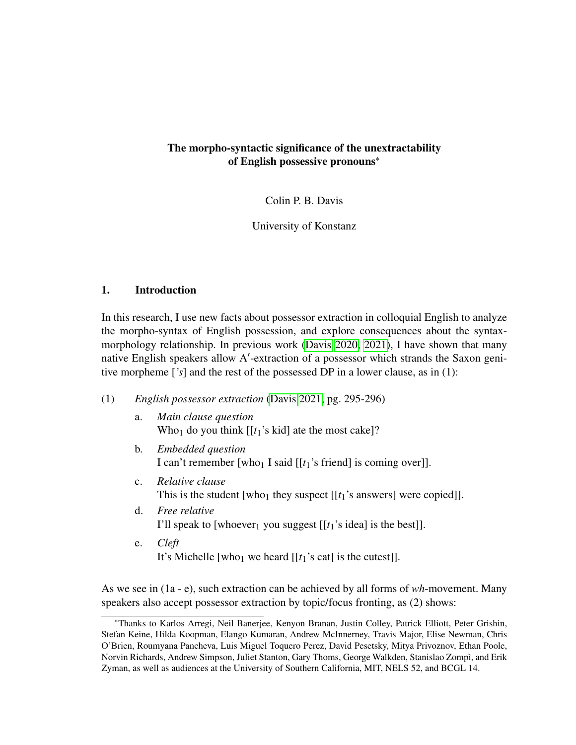# <span id="page-0-0"></span>The morpho-syntactic significance of the unextractability of English possessive pronouns\*

Colin P. B. Davis

University of Konstanz

## 1. Introduction

In this research, I use new facts about possessor extraction in colloquial English to analyze the morpho-syntax of English possession, and explore consequences about the syntaxmorphology relationship. In previous work [\(Davis 2020,](#page-12-0) [2021\)](#page-12-1), I have shown that many native English speakers allow A′ -extraction of a possessor which strands the Saxon genitive morpheme [*'s*] and the rest of the possessed DP in a lower clause, as in (1):

- (1) *English possessor extraction* [\(Davis 2021,](#page-12-1) pg. 295-296)
	- a. *Main clause question* Who<sub>1</sub> do you think  $[[t_1]$ 's kid] ate the most cake]?
	- b. *Embedded question* I can't remember [who<sub>1</sub> I said  $[[t_1]$ 's friend] is coming over]].
	- c. *Relative clause* This is the student [who<sub>1</sub> they suspect  $[[t_1]$ 's answers] were copied]].
	- d. *Free relative* I'll speak to [whoever<sub>1</sub> you suggest  $[[t_1]$ 's idea] is the best]].
	- e. *Cleft* It's Michelle [who<sub>1</sub> we heard  $[[t_1]$ 's cat] is the cutest]].

As we see in (1a - e), such extraction can be achieved by all forms of *wh*-movement. Many speakers also accept possessor extraction by topic/focus fronting, as (2) shows:

<sup>\*</sup>Thanks to Karlos Arregi, Neil Banerjee, Kenyon Branan, Justin Colley, Patrick Elliott, Peter Grishin, Stefan Keine, Hilda Koopman, Elango Kumaran, Andrew McInnerney, Travis Major, Elise Newman, Chris O'Brien, Roumyana Pancheva, Luis Miguel Toquero Perez, David Pesetsky, Mitya Privoznov, Ethan Poole, Norvin Richards, Andrew Simpson, Juliet Stanton, Gary Thoms, George Walkden, Stanislao Zompì, and Erik Zyman, as well as audiences at the University of Southern California, MIT, NELS 52, and BCGL 14.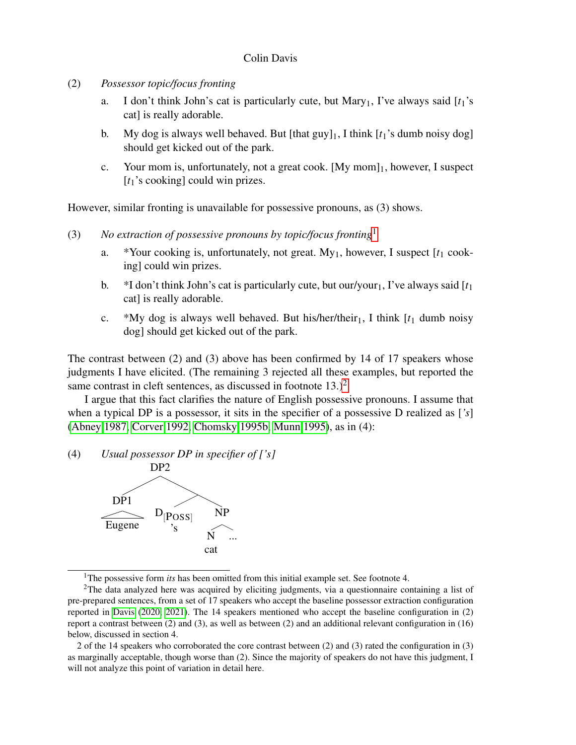- (2) *Possessor topic/focus fronting*
	- a. I don't think John's cat is particularly cute, but Mary<sub>1</sub>, I've always said  $[t_1]$ 's cat] is really adorable.
	- b. My dog is always well behaved. But [that guy]<sub>1</sub>, I think  $[t_1]$ 's dumb noisy dog] should get kicked out of the park.
	- c. Your mom is, unfortunately, not a great cook.  $[My \text{ mom}]_1$ , however, I suspect [*t*<sub>1</sub>'s cooking] could win prizes.

However, similar fronting is unavailable for possessive pronouns, as (3) shows.

- (3) *No extraction of possessive pronouns by topic/focus fronting*[1](#page-0-0)
	- a. \*Your cooking is, unfortunately, not great.  $My_1$ , however, I suspect  $[t_1 \text{ cook-}$ ing] could win prizes.
	- b.  $*I$  don't think John's cat is particularly cute, but our/your<sub>1</sub>, I've always said  $[t_1]$ cat] is really adorable.
	- c. \*My dog is always well behaved. But his/her/their<sub>1</sub>, I think  $[t_1]$  dumb noisy dog] should get kicked out of the park.

The contrast between (2) and (3) above has been confirmed by 14 of 17 speakers whose judgments I have elicited. (The remaining 3 rejected all these examples, but reported the same contrast in cleft sentences, as discussed in footnote  $13.$ )<sup>[2](#page-0-0)</sup>

I argue that this fact clarifies the nature of English possessive pronouns. I assume that when a typical DP is a possessor, it sits in the specifier of a possessive D realized as [*'s*] [\(Abney 1987,](#page-11-0) [Corver 1992,](#page-12-2) [Chomsky 1995b,](#page-12-3) [Munn 1995\)](#page-13-0), as in (4):

(4) *Usual possessor DP in specifier of ['s]*



<sup>1</sup>The possessive form *its* has been omitted from this initial example set. See footnote 4.

<sup>&</sup>lt;sup>2</sup>The data analyzed here was acquired by eliciting judgments, via a questionnaire containing a list of pre-prepared sentences, from a set of 17 speakers who accept the baseline possessor extraction configuration reported in [Davis](#page-12-0) [\(2020,](#page-12-0) [2021\)](#page-12-1). The 14 speakers mentioned who accept the baseline configuration in (2) report a contrast between (2) and (3), as well as between (2) and an additional relevant configuration in (16) below, discussed in section 4.

<sup>2</sup> of the 14 speakers who corroborated the core contrast between (2) and (3) rated the configuration in (3) as marginally acceptable, though worse than (2). Since the majority of speakers do not have this judgment, I will not analyze this point of variation in detail here.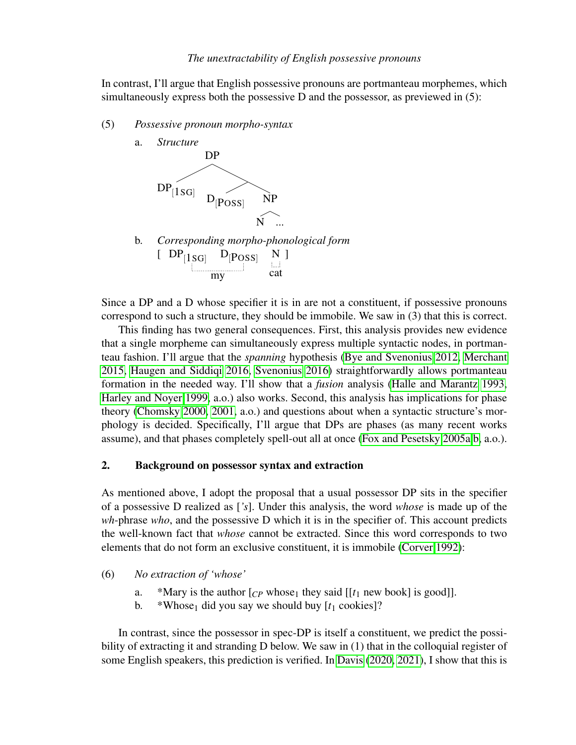In contrast, I'll argue that English possessive pronouns are portmanteau morphemes, which simultaneously express both the possessive D and the possessor, as previewed in  $(5)$ :

- (5) *Possessive pronoun morpho-syntax*
	- a. *Structure* DP  $\text{DP}_{[\text{1SG}]}$  $\rm D_{[Poss]}$  NP N ... b. *Corresponding morpho-phonological form*  $[DP_{[1SG]}$   $D_{[Poss]}$ my N cat ]

Since a DP and a D whose specifier it is in are not a constituent, if possessive pronouns correspond to such a structure, they should be immobile. We saw in (3) that this is correct.

This finding has two general consequences. First, this analysis provides new evidence that a single morpheme can simultaneously express multiple syntactic nodes, in portmanteau fashion. I'll argue that the *spanning* hypothesis [\(Bye and Svenonius 2012,](#page-12-4) [Merchant](#page-13-1) [2015,](#page-13-1) [Haugen and Siddiqi 2016,](#page-13-2) [Svenonius 2016\)](#page-13-3) straightforwardly allows portmanteau formation in the needed way. I'll show that a *fusion* analysis [\(Halle and Marantz 1993,](#page-13-4) [Harley and Noyer 1999,](#page-13-5) a.o.) also works. Second, this analysis has implications for phase theory [\(Chomsky 2000,](#page-12-5) [2001,](#page-12-6) a.o.) and questions about when a syntactic structure's morphology is decided. Specifically, I'll argue that DPs are phases (as many recent works assume), and that phases completely spell-out all at once [\(Fox and Pesetsky 2005a](#page-12-7)[,b,](#page-12-8) a.o.).

## 2. Background on possessor syntax and extraction

As mentioned above, I adopt the proposal that a usual possessor DP sits in the specifier of a possessive D realized as [*'s*]. Under this analysis, the word *whose* is made up of the *wh*-phrase *who*, and the possessive D which it is in the specifier of. This account predicts the well-known fact that *whose* cannot be extracted. Since this word corresponds to two elements that do not form an exclusive constituent, it is immobile [\(Corver 1992\)](#page-12-2):

- (6) *No extraction of 'whose'*
	- a. \*Mary is the author  $[*CP*$  whose<sub>1</sub> they said  $[[*t*<sub>1</sub>$  new book] is good]].
	- b. \*Whose<sub>1</sub> did you say we should buy  $[t_1 \text{ cookies}]$ ?

In contrast, since the possessor in spec-DP is itself a constituent, we predict the possibility of extracting it and stranding D below. We saw in (1) that in the colloquial register of some English speakers, this prediction is verified. In [Davis](#page-12-0) [\(2020,](#page-12-0) [2021\)](#page-12-1), I show that this is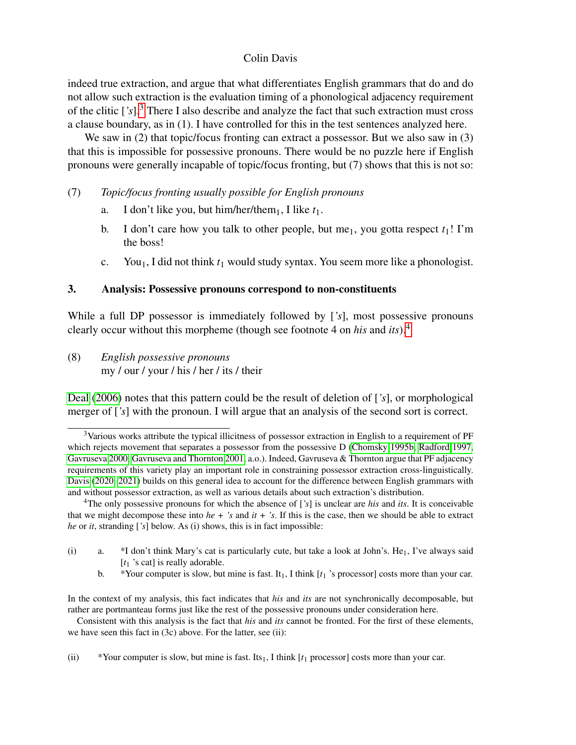indeed true extraction, and argue that what differentiates English grammars that do and do not allow such extraction is the evaluation timing of a phonological adjacency requirement of the clitic [*'s*].[3](#page-0-0) There I also describe and analyze the fact that such extraction must cross a clause boundary, as in (1). I have controlled for this in the test sentences analyzed here.

We saw in (2) that topic/focus fronting can extract a possessor. But we also saw in (3) that this is impossible for possessive pronouns. There would be no puzzle here if English pronouns were generally incapable of topic/focus fronting, but (7) shows that this is not so:

- (7) *Topic/focus fronting usually possible for English pronouns*
	- a. I don't like you, but him/her/them<sub>1</sub>, I like  $t_1$ .
	- b. I don't care how you talk to other people, but me<sub>1</sub>, you gotta respect  $t_1$ ! I'm the boss!
	- c. You1, I did not think *t*<sup>1</sup> would study syntax. You seem more like a phonologist.

## 3. Analysis: Possessive pronouns correspond to non-constituents

While a full DP possessor is immediately followed by [*'s*], most possessive pronouns clearly occur without this morpheme (though see footnote 4 on *his* and *its*).[4](#page-0-0)

(8) *English possessive pronouns* my / our / your / his / her / its / their

[Deal](#page-12-9) [\(2006\)](#page-12-9) notes that this pattern could be the result of deletion of [*'s*], or morphological merger of [*'s*] with the pronoun. I will argue that an analysis of the second sort is correct.

Consistent with this analysis is the fact that *his* and *its* cannot be fronted. For the first of these elements, we have seen this fact in (3c) above. For the latter, see (ii):

(ii) \*Your computer is slow, but mine is fast. Its<sub>1</sub>, I think  $[t_1$  processor] costs more than your car.

<sup>&</sup>lt;sup>3</sup>Various works attribute the typical illicitness of possessor extraction in English to a requirement of PF which rejects movement that separates a possessor from the possessive D [\(Chomsky 1995b,](#page-12-3) [Radford 1997,](#page-13-6) [Gavruseva 2000,](#page-12-10) [Gavruseva and Thornton 2001,](#page-13-7) a.o.). Indeed, Gavruseva & Thornton argue that PF adjacency requirements of this variety play an important role in constraining possessor extraction cross-linguistically. [Davis](#page-12-0) [\(2020,](#page-12-0) [2021\)](#page-12-1) builds on this general idea to account for the difference between English grammars with and without possessor extraction, as well as various details about such extraction's distribution.

<sup>4</sup>The only possessive pronouns for which the absence of [*'s*] is unclear are *his* and *its*. It is conceivable that we might decompose these into  $he + 's$  and  $it + 's$ . If this is the case, then we should be able to extract *he* or *it*, stranding [*'s*] below. As (i) shows, this is in fact impossible:

<sup>(</sup>i) a. \*I don't think Mary's cat is particularly cute, but take a look at John's. He<sub>1</sub>, I've always said [*t*<sub>1</sub> 's cat] is really adorable.

b. \*Your computer is slow, but mine is fast. It1, I think [*t*<sup>1</sup> 's processor] costs more than your car.

In the context of my analysis, this fact indicates that *his* and *its* are not synchronically decomposable, but rather are portmanteau forms just like the rest of the possessive pronouns under consideration here.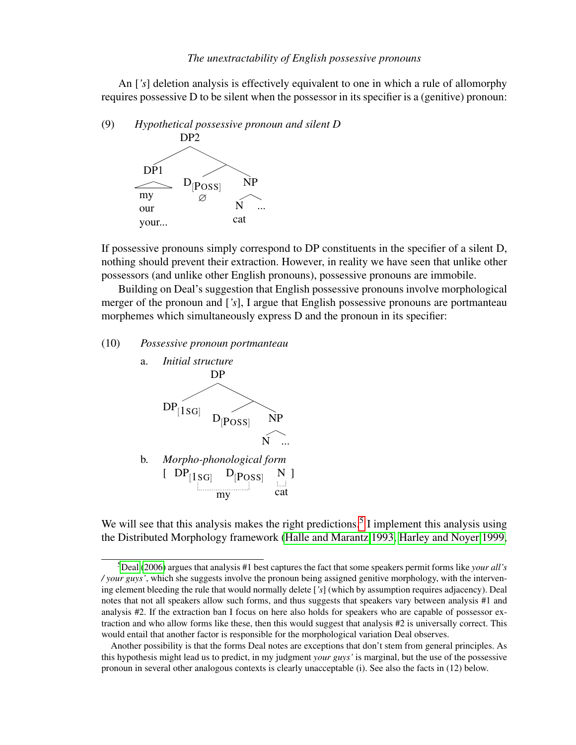An [*'s*] deletion analysis is effectively equivalent to one in which a rule of allomorphy requires possessive D to be silent when the possessor in its specifier is a (genitive) pronoun:

(9) *Hypothetical possessive pronoun and silent D*



If possessive pronouns simply correspond to DP constituents in the specifier of a silent D, nothing should prevent their extraction. However, in reality we have seen that unlike other possessors (and unlike other English pronouns), possessive pronouns are immobile.

Building on Deal's suggestion that English possessive pronouns involve morphological merger of the pronoun and [*'s*], I argue that English possessive pronouns are portmanteau morphemes which simultaneously express D and the pronoun in its specifier:

## (10) *Possessive pronoun portmanteau*



We will see that this analysis makes the right predictions.<sup>[5](#page-0-0)</sup> I implement this analysis using the Distributed Morphology framework [\(Halle and Marantz 1993,](#page-13-4) [Harley and Noyer 1999,](#page-13-5)

<sup>5</sup>[Deal](#page-12-9) [\(2006\)](#page-12-9) argues that analysis #1 best captures the fact that some speakers permit forms like *your all's / your guys'*, which she suggests involve the pronoun being assigned genitive morphology, with the intervening element bleeding the rule that would normally delete [*'s*] (which by assumption requires adjacency). Deal notes that not all speakers allow such forms, and thus suggests that speakers vary between analysis #1 and analysis #2. If the extraction ban I focus on here also holds for speakers who are capable of possessor extraction and who allow forms like these, then this would suggest that analysis #2 is universally correct. This would entail that another factor is responsible for the morphological variation Deal observes.

Another possibility is that the forms Deal notes are exceptions that don't stem from general principles. As this hypothesis might lead us to predict, in my judgment *your guys'* is marginal, but the use of the possessive pronoun in several other analogous contexts is clearly unacceptable (i). See also the facts in (12) below.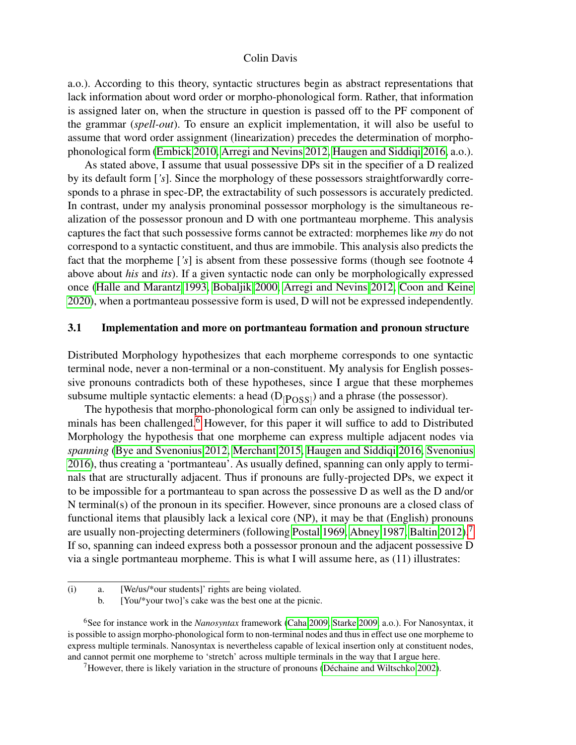a.o.). According to this theory, syntactic structures begin as abstract representations that lack information about word order or morpho-phonological form. Rather, that information is assigned later on, when the structure in question is passed off to the PF component of the grammar (*spell-out*). To ensure an explicit implementation, it will also be useful to assume that word order assignment (linearization) precedes the determination of morphophonological form [\(Embick 2010,](#page-12-11) [Arregi and Nevins 2012,](#page-11-1) [Haugen and Siddiqi 2016,](#page-13-2) a.o.).

As stated above, I assume that usual possessive DPs sit in the specifier of a D realized by its default form [*'s*]. Since the morphology of these possessors straightforwardly corresponds to a phrase in spec-DP, the extractability of such possessors is accurately predicted. In contrast, under my analysis pronominal possessor morphology is the simultaneous realization of the possessor pronoun and D with one portmanteau morpheme. This analysis captures the fact that such possessive forms cannot be extracted: morphemes like *my* do not correspond to a syntactic constituent, and thus are immobile. This analysis also predicts the fact that the morpheme [*'s*] is absent from these possessive forms (though see footnote 4 above about *his* and *its*). If a given syntactic node can only be morphologically expressed once [\(Halle and Marantz 1993,](#page-13-4) [Bobaljik 2000,](#page-11-2) [Arregi and Nevins 2012,](#page-11-1) [Coon and Keine](#page-12-12) [2020\)](#page-12-12), when a portmanteau possessive form is used, D will not be expressed independently.

## 3.1 Implementation and more on portmanteau formation and pronoun structure

Distributed Morphology hypothesizes that each morpheme corresponds to one syntactic terminal node, never a non-terminal or a non-constituent. My analysis for English possessive pronouns contradicts both of these hypotheses, since I argue that these morphemes subsume multiple syntactic elements: a head  $(D_{[POSS]})$  and a phrase (the possessor).

The hypothesis that morpho-phonological form can only be assigned to individual ter-minals has been challenged.<sup>[6](#page-0-0)</sup> However, for this paper it will suffice to add to Distributed Morphology the hypothesis that one morpheme can express multiple adjacent nodes via *spanning* [\(Bye and Svenonius 2012,](#page-12-4) [Merchant 2015,](#page-13-1) [Haugen and Siddiqi 2016,](#page-13-2) [Svenonius](#page-13-3) [2016\)](#page-13-3), thus creating a 'portmanteau'. As usually defined, spanning can only apply to terminals that are structurally adjacent. Thus if pronouns are fully-projected DPs, we expect it to be impossible for a portmanteau to span across the possessive D as well as the D and/or N terminal(s) of the pronoun in its specifier. However, since pronouns are a closed class of functional items that plausibly lack a lexical core (NP), it may be that (English) pronouns are usually non-projecting determiners (following [Postal 1969,](#page-13-8) [Abney 1987,](#page-11-0) [Baltin 2012\)](#page-11-3).<sup>[7](#page-0-0)</sup> If so, spanning can indeed express both a possessor pronoun and the adjacent possessive D via a single portmanteau morpheme. This is what I will assume here, as (11) illustrates:

<sup>(</sup>i) a. [We/us/\*our students]' rights are being violated.

b. [You/\*your two]'s cake was the best one at the picnic.

<sup>6</sup>See for instance work in the *Nanosyntax* framework [\(Caha 2009,](#page-12-13) [Starke 2009,](#page-13-9) a.o.). For Nanosyntax, it is possible to assign morpho-phonological form to non-terminal nodes and thus in effect use one morpheme to express multiple terminals. Nanosyntax is nevertheless capable of lexical insertion only at constituent nodes, and cannot permit one morpheme to 'stretch' across multiple terminals in the way that I argue here.

<sup>&</sup>lt;sup>7</sup>However, there is likely variation in the structure of pronouns (Déchaine and Wiltschko 2002).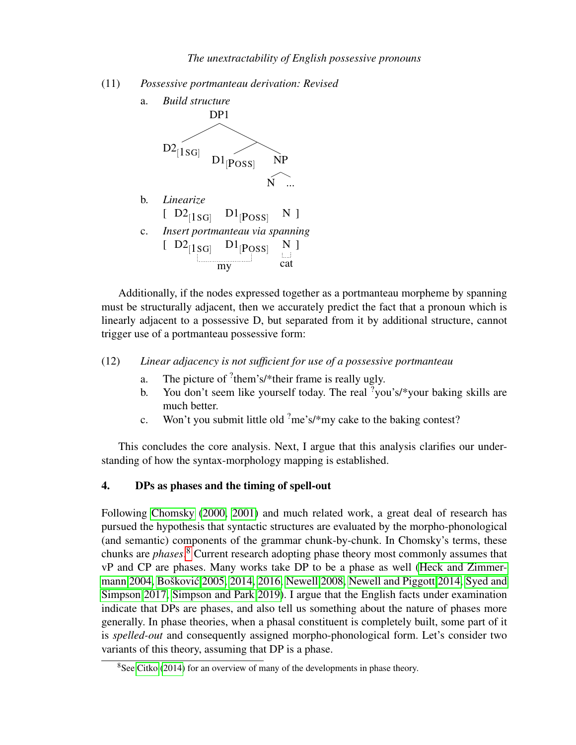(11) *Possessive portmanteau derivation: Revised*



Additionally, if the nodes expressed together as a portmanteau morpheme by spanning must be structurally adjacent, then we accurately predict the fact that a pronoun which is linearly adjacent to a possessive D, but separated from it by additional structure, cannot trigger use of a portmanteau possessive form:

(12) *Linear adjacency is not sufficient for use of a possessive portmanteau*

- a. The picture of  ${}^{?}$ them's/\*their frame is really ugly.
- b. You don't seem like yourself today. The real  $\frac{1}{2}$ you's/\*your baking skills are much better.
- c. Won't you submit little old  $\text{?me's}$ /\*my cake to the baking contest?

This concludes the core analysis. Next, I argue that this analysis clarifies our understanding of how the syntax-morphology mapping is established.

# 4. DPs as phases and the timing of spell-out

Following [Chomsky](#page-12-5) [\(2000,](#page-12-5) [2001\)](#page-12-6) and much related work, a great deal of research has pursued the hypothesis that syntactic structures are evaluated by the morpho-phonological (and semantic) components of the grammar chunk-by-chunk. In Chomsky's terms, these chunks are *phases*. [8](#page-0-0) Current research adopting phase theory most commonly assumes that vP and CP are phases. Many works take DP to be a phase as well [\(Heck and Zimmer](#page-13-10)[mann 2004,](#page-13-10) Bošković [2005,](#page-12-15) [2014,](#page-12-16) [2016,](#page-12-17) [Newell 2008,](#page-13-11) [Newell and Piggott 2014,](#page-13-12) [Syed and](#page-13-13) [Simpson 2017,](#page-13-13) [Simpson and Park 2019\)](#page-13-14). I argue that the English facts under examination indicate that DPs are phases, and also tell us something about the nature of phases more generally. In phase theories, when a phasal constituent is completely built, some part of it is *spelled-out* and consequently assigned morpho-phonological form. Let's consider two variants of this theory, assuming that DP is a phase.

<sup>&</sup>lt;sup>8</sup>See [Citko](#page-12-18) [\(2014\)](#page-12-18) for an overview of many of the developments in phase theory.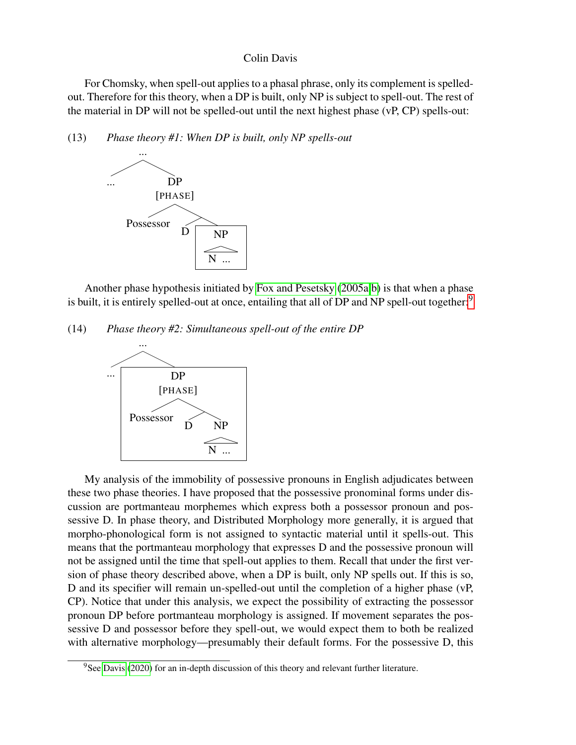For Chomsky, when spell-out applies to a phasal phrase, only its complement is spelledout. Therefore for this theory, when a DP is built, only NP is subject to spell-out. The rest of the material in DP will not be spelled-out until the next highest phase (vP, CP) spells-out:

(13) *Phase theory #1: When DP is built, only NP spells-out*



Another phase hypothesis initiated by [Fox and Pesetsky](#page-12-7) [\(2005a,](#page-12-7)[b\)](#page-12-8) is that when a phase is built, it is entirely spelled-out at once, entailing that all of DP and NP spell-out together:<sup>[9](#page-0-0)</sup>

(14) *Phase theory #2: Simultaneous spell-out of the entire DP*



My analysis of the immobility of possessive pronouns in English adjudicates between these two phase theories. I have proposed that the possessive pronominal forms under discussion are portmanteau morphemes which express both a possessor pronoun and possessive D. In phase theory, and Distributed Morphology more generally, it is argued that morpho-phonological form is not assigned to syntactic material until it spells-out. This means that the portmanteau morphology that expresses D and the possessive pronoun will not be assigned until the time that spell-out applies to them. Recall that under the first version of phase theory described above, when a DP is built, only NP spells out. If this is so, D and its specifier will remain un-spelled-out until the completion of a higher phase (vP, CP). Notice that under this analysis, we expect the possibility of extracting the possessor pronoun DP before portmanteau morphology is assigned. If movement separates the possessive D and possessor before they spell-out, we would expect them to both be realized with alternative morphology—presumably their default forms. For the possessive D, this

<sup>&</sup>lt;sup>9</sup>See [Davis](#page-12-0) [\(2020\)](#page-12-0) for an in-depth discussion of this theory and relevant further literature.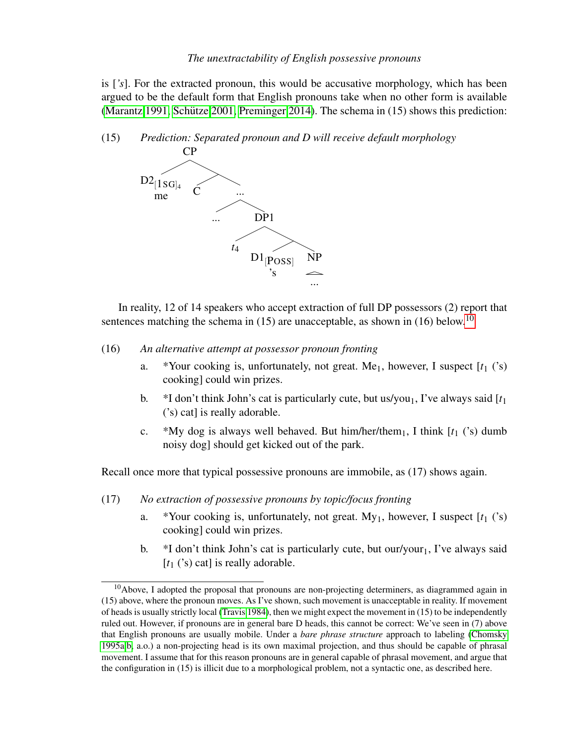is [*'s*]. For the extracted pronoun, this would be accusative morphology, which has been argued to be the default form that English pronouns take when no other form is available [\(Marantz 1991,](#page-13-15) Schütze 2001, [Preminger 2014\)](#page-13-17). The schema in  $(15)$  shows this prediction:

(15) *Prediction: Separated pronoun and D will receive default morphology*



In reality, 12 of 14 speakers who accept extraction of full DP possessors (2) report that sentences matching the schema in (15) are unacceptable, as shown in (16) below.<sup>[10](#page-0-0)</sup>

- (16) *An alternative attempt at possessor pronoun fronting*
	- a. \*Your cooking is, unfortunately, not great. Me<sub>1</sub>, however, I suspect  $[t_1$  ('s) cooking] could win prizes.
	- b.  $*I$  don't think John's cat is particularly cute, but us/you<sub>1</sub>, I've always said  $[t_1]$ ('s) cat] is really adorable.
	- c. \*My dog is always well behaved. But him/her/them<sub>1</sub>, I think  $[t_1$  ('s) dumb noisy dog] should get kicked out of the park.

Recall once more that typical possessive pronouns are immobile, as (17) shows again.

- (17) *No extraction of possessive pronouns by topic/focus fronting*
	- a. \*Your cooking is, unfortunately, not great. My1, however, I suspect [*t*<sup>1</sup> ('s) cooking] could win prizes.
	- b.  $*I$  don't think John's cat is particularly cute, but our/your<sub>1</sub>, I've always said [t<sub>1</sub> ('s) cat] is really adorable.

 $10$ Above, I adopted the proposal that pronouns are non-projecting determiners, as diagrammed again in (15) above, where the pronoun moves. As I've shown, such movement is unacceptable in reality. If movement of heads is usually strictly local [\(Travis 1984\)](#page-13-18), then we might expect the movement in (15) to be independently ruled out. However, if pronouns are in general bare D heads, this cannot be correct: We've seen in (7) above that English pronouns are usually mobile. Under a *bare phrase structure* approach to labeling [\(Chomsky](#page-12-19) [1995a,](#page-12-19)[b,](#page-12-3) a.o.) a non-projecting head is its own maximal projection, and thus should be capable of phrasal movement. I assume that for this reason pronouns are in general capable of phrasal movement, and argue that the configuration in (15) is illicit due to a morphological problem, not a syntactic one, as described here.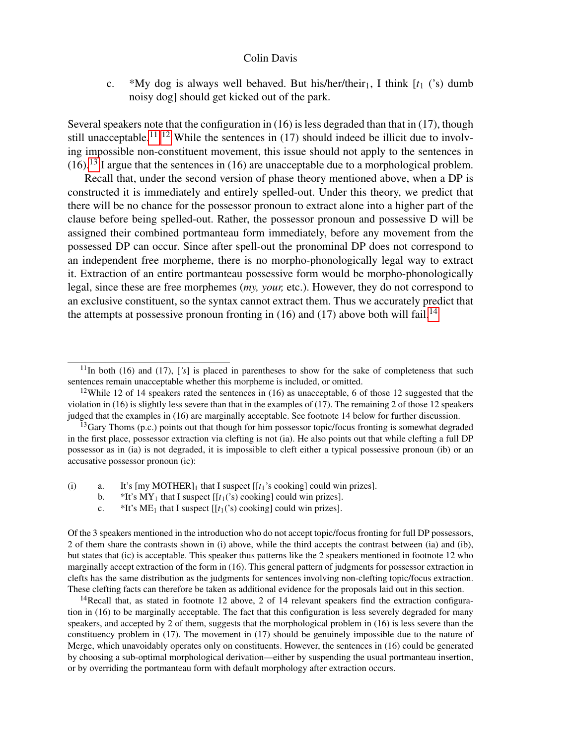c. \*My dog is always well behaved. But his/her/their<sub>1</sub>, I think  $[t_1 \text{ ('s)}$  dumb noisy dog] should get kicked out of the park.

Several speakers note that the configuration in (16) is less degraded than that in (17), though still unacceptable.<sup>[11 12](#page-0-0)</sup> While the sentences in  $(17)$  should indeed be illicit due to involving impossible non-constituent movement, this issue should not apply to the sentences in  $(16).$ <sup>[13](#page-0-0)</sup> I argue that the sentences in (16) are unacceptable due to a morphological problem.

Recall that, under the second version of phase theory mentioned above, when a DP is constructed it is immediately and entirely spelled-out. Under this theory, we predict that there will be no chance for the possessor pronoun to extract alone into a higher part of the clause before being spelled-out. Rather, the possessor pronoun and possessive D will be assigned their combined portmanteau form immediately, before any movement from the possessed DP can occur. Since after spell-out the pronominal DP does not correspond to an independent free morpheme, there is no morpho-phonologically legal way to extract it. Extraction of an entire portmanteau possessive form would be morpho-phonologically legal, since these are free morphemes (*my, your,* etc.). However, they do not correspond to an exclusive constituent, so the syntax cannot extract them. Thus we accurately predict that the attempts at possessive pronoun fronting in (16) and (17) above both will fail.<sup>[14](#page-0-0)</sup>

- (i) a. It's  $[my MOTHER]_1$  that I suspect  $[[t_1]_1^s$  cooking could win prizes].
	- b.  $*$ It's MY<sub>1</sub> that I suspect [[ $t_1$ ('s) cooking] could win prizes].
	- c.  $*$ It's ME<sub>1</sub> that I suspect  $[[t_1('s) \text{ cooking}]$  could win prizes].

Of the 3 speakers mentioned in the introduction who do not accept topic/focus fronting for full DP possessors, 2 of them share the contrasts shown in (i) above, while the third accepts the contrast between (ia) and (ib), but states that (ic) is acceptable. This speaker thus patterns like the 2 speakers mentioned in footnote 12 who marginally accept extraction of the form in (16). This general pattern of judgments for possessor extraction in clefts has the same distribution as the judgments for sentences involving non-clefting topic/focus extraction. These clefting facts can therefore be taken as additional evidence for the proposals laid out in this section.

<sup>14</sup>Recall that, as stated in footnote 12 above, 2 of 14 relevant speakers find the extraction configuration in (16) to be marginally acceptable. The fact that this configuration is less severely degraded for many speakers, and accepted by 2 of them, suggests that the morphological problem in (16) is less severe than the constituency problem in (17). The movement in (17) should be genuinely impossible due to the nature of Merge, which unavoidably operates only on constituents. However, the sentences in (16) could be generated by choosing a sub-optimal morphological derivation—either by suspending the usual portmanteau insertion, or by overriding the portmanteau form with default morphology after extraction occurs.

 $11$ In both (16) and (17), [*'s*] is placed in parentheses to show for the sake of completeness that such sentences remain unacceptable whether this morpheme is included, or omitted.

<sup>&</sup>lt;sup>12</sup>While 12 of 14 speakers rated the sentences in (16) as unacceptable, 6 of those 12 suggested that the violation in (16) is slightly less severe than that in the examples of (17). The remaining 2 of those 12 speakers judged that the examples in (16) are marginally acceptable. See footnote 14 below for further discussion.

 $13$ Gary Thoms (p.c.) points out that though for him possessor topic/focus fronting is somewhat degraded in the first place, possessor extraction via clefting is not (ia). He also points out that while clefting a full DP possessor as in (ia) is not degraded, it is impossible to cleft either a typical possessive pronoun (ib) or an accusative possessor pronoun (ic):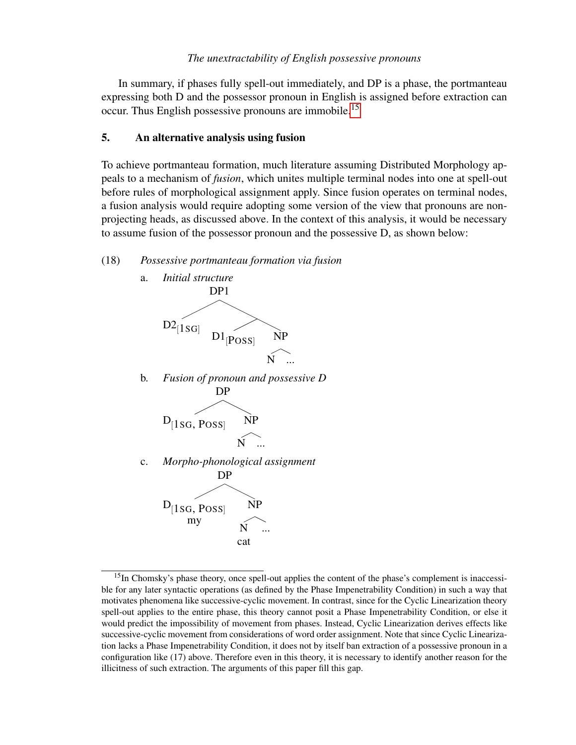In summary, if phases fully spell-out immediately, and DP is a phase, the portmanteau expressing both D and the possessor pronoun in English is assigned before extraction can occur. Thus English possessive pronouns are immobile.[15](#page-0-0)

### 5. An alternative analysis using fusion

To achieve portmanteau formation, much literature assuming Distributed Morphology appeals to a mechanism of *fusion*, which unites multiple terminal nodes into one at spell-out before rules of morphological assignment apply. Since fusion operates on terminal nodes, a fusion analysis would require adopting some version of the view that pronouns are nonprojecting heads, as discussed above. In the context of this analysis, it would be necessary to assume fusion of the possessor pronoun and the possessive D, as shown below:

### (18) *Possessive portmanteau formation via fusion*



<sup>&</sup>lt;sup>15</sup>In Chomsky's phase theory, once spell-out applies the content of the phase's complement is inaccessible for any later syntactic operations (as defined by the Phase Impenetrability Condition) in such a way that motivates phenomena like successive-cyclic movement. In contrast, since for the Cyclic Linearization theory spell-out applies to the entire phase, this theory cannot posit a Phase Impenetrability Condition, or else it would predict the impossibility of movement from phases. Instead, Cyclic Linearization derives effects like successive-cyclic movement from considerations of word order assignment. Note that since Cyclic Linearization lacks a Phase Impenetrability Condition, it does not by itself ban extraction of a possessive pronoun in a configuration like (17) above. Therefore even in this theory, it is necessary to identify another reason for the illicitness of such extraction. The arguments of this paper fill this gap.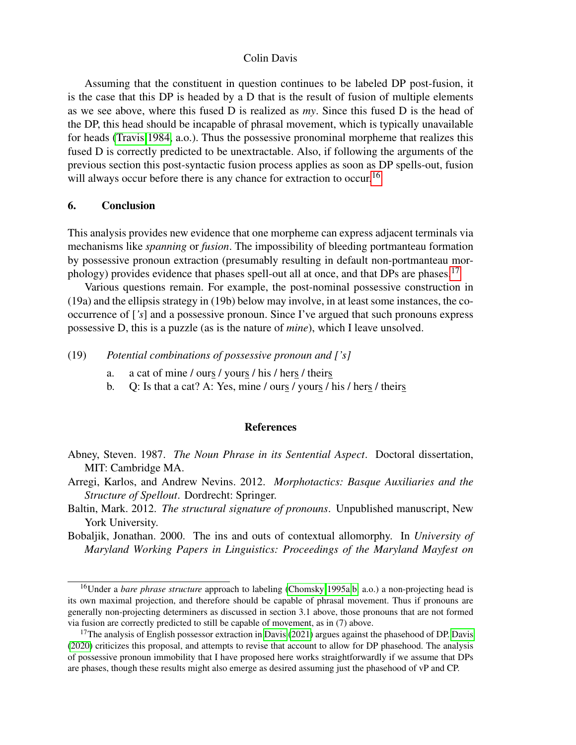Assuming that the constituent in question continues to be labeled DP post-fusion, it is the case that this DP is headed by a D that is the result of fusion of multiple elements as we see above, where this fused D is realized as *my*. Since this fused D is the head of the DP, this head should be incapable of phrasal movement, which is typically unavailable for heads [\(Travis 1984,](#page-13-18) a.o.). Thus the possessive pronominal morpheme that realizes this fused D is correctly predicted to be unextractable. Also, if following the arguments of the previous section this post-syntactic fusion process applies as soon as DP spells-out, fusion will always occur before there is any chance for extraction to occur.<sup>[16](#page-0-0)</sup>

## 6. Conclusion

This analysis provides new evidence that one morpheme can express adjacent terminals via mechanisms like *spanning* or *fusion*. The impossibility of bleeding portmanteau formation by possessive pronoun extraction (presumably resulting in default non-portmanteau mor-phology) provides evidence that phases spell-out all at once, and that DPs are phases.<sup>[17](#page-0-0)</sup>

Various questions remain. For example, the post-nominal possessive construction in (19a) and the ellipsis strategy in (19b) below may involve, in at least some instances, the cooccurrence of [*'s*] and a possessive pronoun. Since I've argued that such pronouns express possessive D, this is a puzzle (as is the nature of *mine*), which I leave unsolved.

(19) *Potential combinations of possessive pronoun and ['s]*

- a. a cat of mine / ours / yours / his / hers / theirs
- b. Q: Is that a cat? A: Yes, mine / ours / yours / his / hers / theirs

#### **References**

- <span id="page-11-0"></span>Abney, Steven. 1987. *The Noun Phrase in its Sentential Aspect*. Doctoral dissertation, MIT: Cambridge MA.
- <span id="page-11-1"></span>Arregi, Karlos, and Andrew Nevins. 2012. *Morphotactics: Basque Auxiliaries and the Structure of Spellout*. Dordrecht: Springer.
- <span id="page-11-3"></span>Baltin, Mark. 2012. *The structural signature of pronouns*. Unpublished manuscript, New York University.
- <span id="page-11-2"></span>Bobaljik, Jonathan. 2000. The ins and outs of contextual allomorphy. In *University of Maryland Working Papers in Linguistics: Proceedings of the Maryland Mayfest on*

<sup>16</sup>Under a *bare phrase structure* approach to labeling [\(Chomsky 1995a,](#page-12-19)[b,](#page-12-3) a.o.) a non-projecting head is its own maximal projection, and therefore should be capable of phrasal movement. Thus if pronouns are generally non-projecting determiners as discussed in section 3.1 above, those pronouns that are not formed via fusion are correctly predicted to still be capable of movement, as in (7) above.

<sup>&</sup>lt;sup>17</sup>The analysis of English possessor extraction in [Davis](#page-12-0) [\(2021\)](#page-12-1) argues against the phasehood of DP. Davis [\(2020\)](#page-12-0) criticizes this proposal, and attempts to revise that account to allow for DP phasehood. The analysis of possessive pronoun immobility that I have proposed here works straightforwardly if we assume that DPs are phases, though these results might also emerge as desired assuming just the phasehood of vP and CP.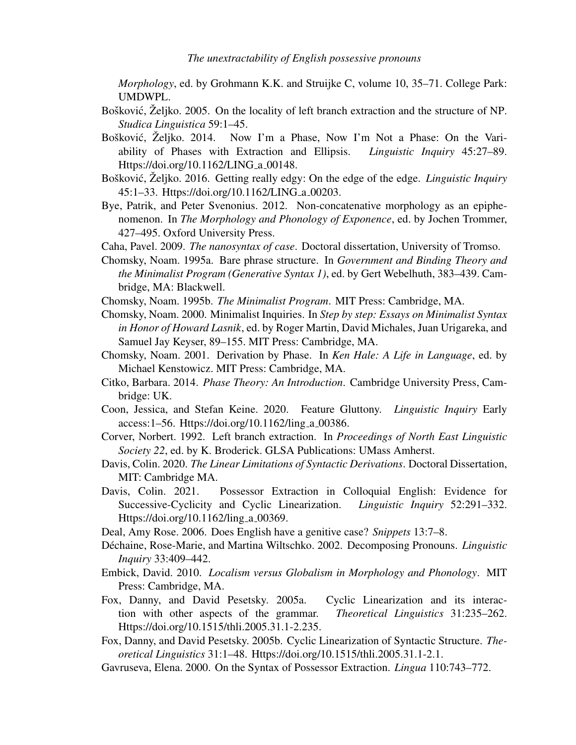*Morphology*, ed. by Grohmann K.K. and Struijke C, volume 10, 35–71. College Park: UMDWPL.

- <span id="page-12-15"></span>Bošković, Željko. 2005. On the locality of left branch extraction and the structure of NP. *Studica Linguistica* 59:1–45.
- <span id="page-12-16"></span>Bošković, Željko. 2014. Now I'm a Phase, Now I'm Not a Phase: On the Variability of Phases with Extraction and Ellipsis. *Linguistic Inquiry* 45:27–89. Https://doi.org/10.1162/LING\_a\_00148.
- <span id="page-12-17"></span>Bošković, Željko. 2016. Getting really edgy: On the edge of the edge. *Linguistic Inquiry* 45:1–33. Https://doi.org/10.1162/LING a 00203.
- <span id="page-12-4"></span>Bye, Patrik, and Peter Svenonius. 2012. Non-concatenative morphology as an epiphenomenon. In *The Morphology and Phonology of Exponence*, ed. by Jochen Trommer, 427–495. Oxford University Press.
- <span id="page-12-13"></span>Caha, Pavel. 2009. *The nanosyntax of case*. Doctoral dissertation, University of Tromso.
- <span id="page-12-19"></span>Chomsky, Noam. 1995a. Bare phrase structure. In *Government and Binding Theory and the Minimalist Program (Generative Syntax 1)*, ed. by Gert Webelhuth, 383–439. Cambridge, MA: Blackwell.
- <span id="page-12-3"></span>Chomsky, Noam. 1995b. *The Minimalist Program*. MIT Press: Cambridge, MA.
- <span id="page-12-5"></span>Chomsky, Noam. 2000. Minimalist Inquiries. In *Step by step: Essays on Minimalist Syntax in Honor of Howard Lasnik*, ed. by Roger Martin, David Michales, Juan Urigareka, and Samuel Jay Keyser, 89–155. MIT Press: Cambridge, MA.
- <span id="page-12-6"></span>Chomsky, Noam. 2001. Derivation by Phase. In *Ken Hale: A Life in Language*, ed. by Michael Kenstowicz. MIT Press: Cambridge, MA.
- <span id="page-12-18"></span>Citko, Barbara. 2014. *Phase Theory: An Introduction*. Cambridge University Press, Cambridge: UK.
- <span id="page-12-12"></span>Coon, Jessica, and Stefan Keine. 2020. Feature Gluttony. *Linguistic Inquiry* Early access:1–56. Https://doi.org/10.1162/ling a 00386.
- <span id="page-12-2"></span>Corver, Norbert. 1992. Left branch extraction. In *Proceedings of North East Linguistic Society 22*, ed. by K. Broderick. GLSA Publications: UMass Amherst.
- <span id="page-12-0"></span>Davis, Colin. 2020. *The Linear Limitations of Syntactic Derivations*. Doctoral Dissertation, MIT: Cambridge MA.
- <span id="page-12-1"></span>Davis, Colin. 2021. Possessor Extraction in Colloquial English: Evidence for Successive-Cyclicity and Cyclic Linearization. *Linguistic Inquiry* 52:291–332. Https://doi.org/10.1162/ling\_a\_00369.
- <span id="page-12-9"></span>Deal, Amy Rose. 2006. Does English have a genitive case? *Snippets* 13:7–8.
- <span id="page-12-14"></span>Déchaine, Rose-Marie, and Martina Wiltschko. 2002. Decomposing Pronouns. *Linguistic Inquiry* 33:409–442.
- <span id="page-12-11"></span>Embick, David. 2010. *Localism versus Globalism in Morphology and Phonology*. MIT Press: Cambridge, MA.
- <span id="page-12-7"></span>Fox, Danny, and David Pesetsky. 2005a. Cyclic Linearization and its interaction with other aspects of the grammar. *Theoretical Linguistics* 31:235–262. Https://doi.org/10.1515/thli.2005.31.1-2.235.
- <span id="page-12-8"></span>Fox, Danny, and David Pesetsky. 2005b. Cyclic Linearization of Syntactic Structure. *Theoretical Linguistics* 31:1–48. Https://doi.org/10.1515/thli.2005.31.1-2.1.
- <span id="page-12-10"></span>Gavruseva, Elena. 2000. On the Syntax of Possessor Extraction. *Lingua* 110:743–772.